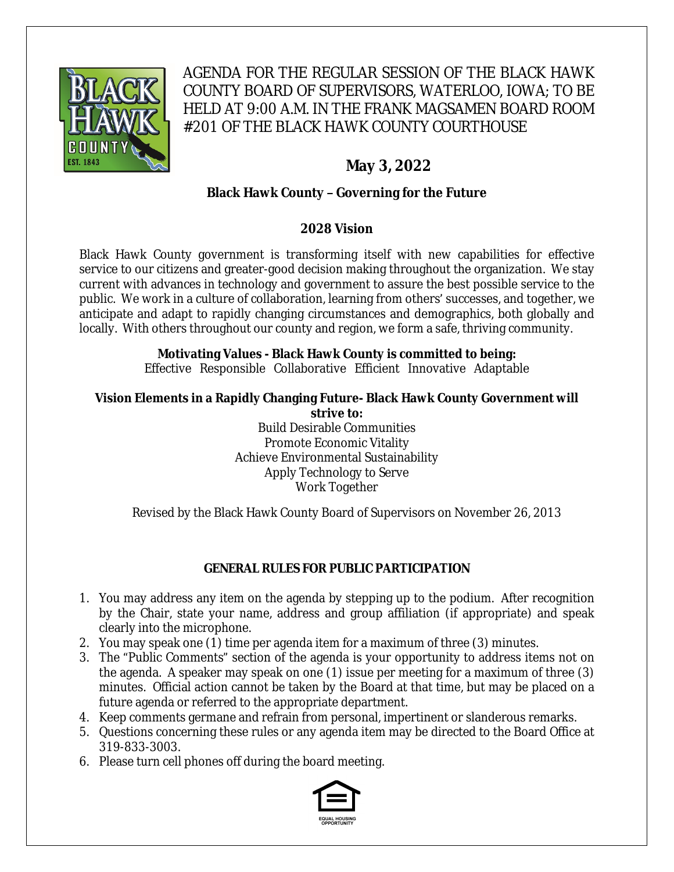

# AGENDA FOR THE REGULAR SESSION OF THE BLACK HAWK COUNTY BOARD OF SUPERVISORS, WATERLOO, IOWA; TO BE HELD AT 9:00 A.M. IN THE FRANK MAGSAMEN BOARD ROOM #201 OF THE BLACK HAWK COUNTY COURTHOUSE

# **May 3, 2022**

# **Black Hawk County – Governing for the Future**

# **2028 Vision**

Black Hawk County government is transforming itself with new capabilities for effective service to our citizens and greater-good decision making throughout the organization. We stay current with advances in technology and government to assure the best possible service to the public. We work in a culture of collaboration, learning from others' successes, and together, we anticipate and adapt to rapidly changing circumstances and demographics, both globally and locally. With others throughout our county and region, we form a safe, thriving community.

# **Motivating Values - Black Hawk County is committed to being:**

Effective Responsible Collaborative Efficient Innovative Adaptable

#### **Vision Elements in a Rapidly Changing Future- Black Hawk County Government will strive to:**

Build Desirable Communities Promote Economic Vitality Achieve Environmental Sustainability Apply Technology to Serve Work Together

Revised by the Black Hawk County Board of Supervisors on November 26, 2013

# **GENERAL RULES FOR PUBLIC PARTICIPATION**

- 1. You may address any item on the agenda by stepping up to the podium. After recognition by the Chair, state your name, address and group affiliation (if appropriate) and speak clearly into the microphone.
- 2. You may speak one (1) time per agenda item for a maximum of three (3) minutes.
- 3. The "Public Comments" section of the agenda is your opportunity to address items not on the agenda. A speaker may speak on one (1) issue per meeting for a maximum of three (3) minutes. Official action cannot be taken by the Board at that time, but may be placed on a future agenda or referred to the appropriate department.
- 4. Keep comments germane and refrain from personal, impertinent or slanderous remarks.
- 5. Questions concerning these rules or any agenda item may be directed to the Board Office at 319-833-3003.
- 6. Please turn cell phones off during the board meeting.

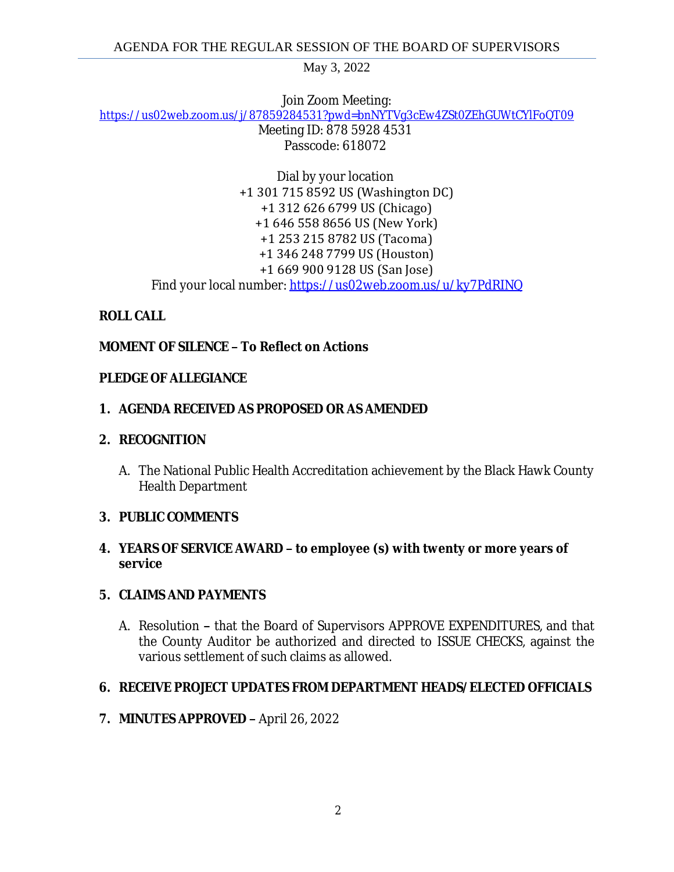Join Zoom Meeting:

[https://us02web.zoom.us/j/87859284531?pwd=bnNYTVg3cEw4ZSt0ZEhGUWtCYlFoQT09](https://gcc02.safelinks.protection.outlook.com/?url=https%3A%2F%2Fus02web.zoom.us%2Fj%2F87859284531%3Fpwd%3DbnNYTVg3cEw4ZSt0ZEhGUWtCYlFoQT09&data=05%7C01%7Ckzwanziger%40blackhawkcounty.iowa.gov%7C80c4d9e1467f4ced20fa08da2878fc03%7C9960f5b6faae4bb3a122c43aceeaa06d%7C0%7C0%7C637866797341082332%7CUnknown%7CTWFpbGZsb3d8eyJWIjoiMC4wLjAwMDAiLCJQIjoiV2luMzIiLCJBTiI6Ik1haWwiLCJXVCI6Mn0%3D%7C3000%7C%7C%7C&sdata=WLt8mcSCGprPP5FdYsKkP9CONn5LTsym3oXbbPxN0Ws%3D&reserved=0) Meeting ID: 878 5928 4531 Passcode: 618072

> Dial by your location +1 301 715 8592 US (Washington DC) +1 312 626 6799 US (Chicago) +1 646 558 8656 US (New York) +1 253 215 8782 US (Tacoma) +1 346 248 7799 US (Houston) +1 669 900 9128 US (San Jose) Find your local number: [https://us02web.zoom.us/u/ky7PdRINQ](https://gcc02.safelinks.protection.outlook.com/?url=https%3A%2F%2Fus02web.zoom.us%2Fu%2Fky7PdRINQ&data=05%7C01%7Ckzwanziger%40blackhawkcounty.iowa.gov%7C80c4d9e1467f4ced20fa08da2878fc03%7C9960f5b6faae4bb3a122c43aceeaa06d%7C0%7C0%7C637866797341082332%7CUnknown%7CTWFpbGZsb3d8eyJWIjoiMC4wLjAwMDAiLCJQIjoiV2luMzIiLCJBTiI6Ik1haWwiLCJXVCI6Mn0%3D%7C3000%7C%7C%7C&sdata=fJ3Rcpx%2FEpKwtkTO2oEaRBgPZD8bcRUBzMxga5iN0E0%3D&reserved=0)

## **ROLL CALL**

# **MOMENT OF SILENCE – To Reflect on Actions**

### **PLEDGE OF ALLEGIANCE**

## **1. AGENDA RECEIVED AS PROPOSED OR AS AMENDED**

#### **2. RECOGNITION**

A. The National Public Health Accreditation achievement by the Black Hawk County Health Department

### **3. PUBLIC COMMENTS**

### **4. YEARS OF SERVICE AWARD – to employee (s) with twenty or more years of service**

### **5. CLAIMS AND PAYMENTS**

A. Resolution **–** that the Board of Supervisors APPROVE EXPENDITURES, and that the County Auditor be authorized and directed to ISSUE CHECKS, against the various settlement of such claims as allowed.

### **6. RECEIVE PROJECT UPDATES FROM DEPARTMENT HEADS/ELECTED OFFICIALS**

### **7. MINUTES APPROVED –** April 26, 2022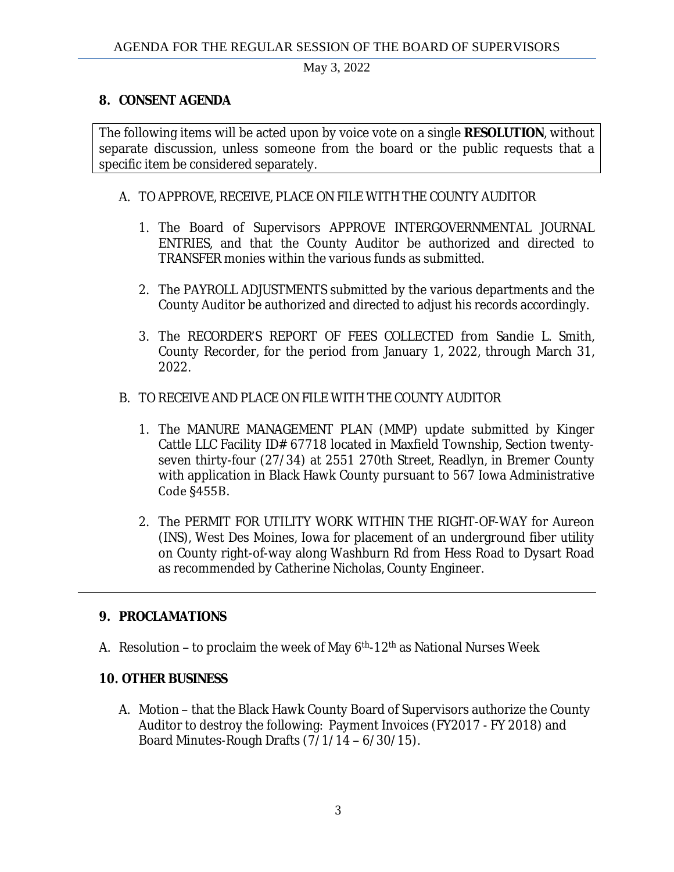## **8. CONSENT AGENDA**

The following items will be acted upon by voice vote on a single **RESOLUTION**, without separate discussion, unless someone from the board or the public requests that a specific item be considered separately.

### A. TO APPROVE, RECEIVE, PLACE ON FILE WITH THE COUNTY AUDITOR

- 1. The Board of Supervisors APPROVE INTERGOVERNMENTAL JOURNAL ENTRIES, and that the County Auditor be authorized and directed to TRANSFER monies within the various funds as submitted.
- 2. The PAYROLL ADJUSTMENTS submitted by the various departments and the County Auditor be authorized and directed to adjust his records accordingly.
- 3. The RECORDER'S REPORT OF FEES COLLECTED from Sandie L. Smith, County Recorder, for the period from January 1, 2022, through March 31, 2022.

## B. TO RECEIVE AND PLACE ON FILE WITH THE COUNTY AUDITOR

- 1. The MANURE MANAGEMENT PLAN (MMP) update submitted by Kinger Cattle LLC Facility ID# 67718 located in Maxfield Township, Section twentyseven thirty-four (27/34) at 2551 270th Street, Readlyn, in Bremer County with application in Black Hawk County pursuant to 567 Iowa Administrative Code §455B.
- 2. The PERMIT FOR UTILITY WORK WITHIN THE RIGHT-OF-WAY for Aureon (INS), West Des Moines, Iowa for placement of an underground fiber utility on County right-of-way along Washburn Rd from Hess Road to Dysart Road as recommended by Catherine Nicholas, County Engineer.

# **9. PROCLAMATIONS**

A. Resolution – to proclaim the week of May  $6<sup>th</sup>$ -12<sup>th</sup> as National Nurses Week

### **10. OTHER BUSINESS**

A. Motion – that the Black Hawk County Board of Supervisors authorize the County Auditor to destroy the following: Payment Invoices (FY2017 - FY 2018) and Board Minutes-Rough Drafts  $(7/1/14 - 6/30/15)$ .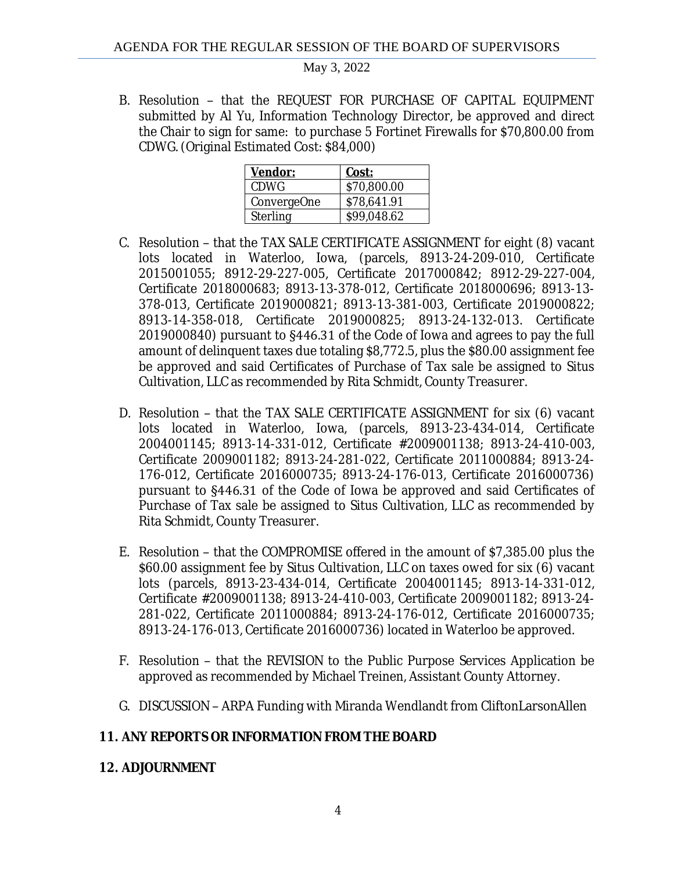B. Resolution – that the REQUEST FOR PURCHASE OF CAPITAL EQUIPMENT submitted by Al Yu, Information Technology Director, be approved and direct the Chair to sign for same: to purchase 5 Fortinet Firewalls for \$70,800.00 from CDWG. (Original Estimated Cost: \$84,000)

| Vendor:         | Cost:       |
|-----------------|-------------|
| <b>CDWG</b>     | \$70,800.00 |
| ConvergeOne     | \$78,641.91 |
| <b>Sterling</b> | \$99,048.62 |

- C. Resolution that the TAX SALE CERTIFICATE ASSIGNMENT for eight (8) vacant lots located in Waterloo, Iowa, (parcels, 8913-24-209-010, Certificate 2015001055; 8912-29-227-005, Certificate 2017000842; 8912-29-227-004, Certificate 2018000683; 8913-13-378-012, Certificate 2018000696; 8913-13- 378-013, Certificate 2019000821; 8913-13-381-003, Certificate 2019000822; 8913-14-358-018, Certificate 2019000825; 8913-24-132-013. Certificate 2019000840) pursuant to §446.31 of the Code of Iowa and agrees to pay the full amount of delinquent taxes due totaling \$8,772.5, plus the \$80.00 assignment fee be approved and said Certificates of Purchase of Tax sale be assigned to Situs Cultivation, LLC as recommended by Rita Schmidt, County Treasurer.
- D. Resolution that the TAX SALE CERTIFICATE ASSIGNMENT for six (6) vacant lots located in Waterloo, Iowa, (parcels, 8913-23-434-014, Certificate 2004001145; 8913-14-331-012, Certificate #2009001138; 8913-24-410-003, Certificate 2009001182; 8913-24-281-022, Certificate 2011000884; 8913-24- 176-012, Certificate 2016000735; 8913-24-176-013, Certificate 2016000736) pursuant to §446.31 of the Code of Iowa be approved and said Certificates of Purchase of Tax sale be assigned to Situs Cultivation, LLC as recommended by Rita Schmidt, County Treasurer.
- E. Resolution that the COMPROMISE offered in the amount of \$7,385.00 plus the \$60.00 assignment fee by Situs Cultivation, LLC on taxes owed for six (6) vacant lots (parcels, 8913-23-434-014, Certificate 2004001145; 8913-14-331-012, Certificate #2009001138; 8913-24-410-003, Certificate 2009001182; 8913-24- 281-022, Certificate 2011000884; 8913-24-176-012, Certificate 2016000735; 8913-24-176-013, Certificate 2016000736) located in Waterloo be approved.
- F. Resolution that the REVISION to the Public Purpose Services Application be approved as recommended by Michael Treinen, Assistant County Attorney.
- G. DISCUSSION ARPA Funding with Miranda Wendlandt from CliftonLarsonAllen

# **11. ANY REPORTS OR INFORMATION FROM THE BOARD**

### **12. ADJOURNMENT**